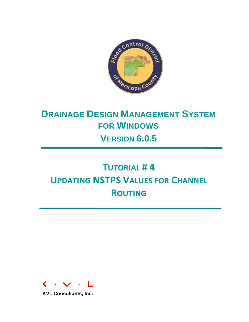

# **DRAINAGE DESIGN MANAGEMENT SYSTEM FOR WINDOWS VERSION 6.0.5**

# **TUTORIAL # 4 UPDATING NSTPS VALUES FOR CHANNEL ROUTING**

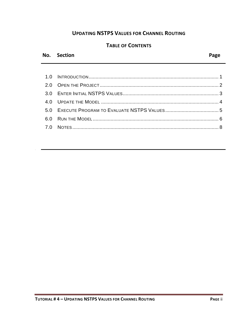# **UPDATING NSTPS VALUES FOR CHANNEL ROUTING**

# **TABLE OF CONTENTS**

### **No. Section Page**

No. Section Page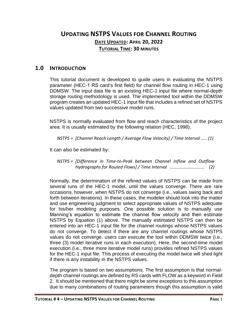# **UPDATING NSTPS VALUES FOR CHANNEL ROUTING DATE UPDATED: APRIL 20, 2022 TUTORIAL TIME: 30 MINUTES**

#### <span id="page-2-0"></span>**1.0 INTRODUCTION**

This tutorial document is developed to guide users in evaluating the NSTPS parameter (HEC-1 RS card's first field) for channel flow routing in HEC-1 using DDMSW. The input data file is an existing HEC-1 input file where normal-depth storage routing methodology is used. The implemented tool within the DDMSW program creates an updated HEC-1 input file that includes a refined set of NSTPS values updated from two successive model runs.

NSTPS is normally evaluated from flow and reach characteristics of the project area. It is usually estimated by the following relation (HEC, 1998).

*NSTPS = [Channel Reach Length / Average Flow Velocity] / Time Interval ….. (1)*

It can also be estimated by:

*NSTPS = [Difference in Time-to-Peak between Channel Inflow and Outflow Hydrographs for Routed Flows] / Time Interval ............................ (2)*

Normally, the determination of the refined values of NSTPS can be made from several runs of the HEC-1 model, until the values converge. There are rare occasions, however, when NSTPS do not converge (i.e., values swing back and forth between iterations). In these cases, the modeler should look into the matter and use engineering judgment to select appropriate values of NSTPS adequate for his/her modeling purposes. One possible solution is to manually use Manning's equation to estimate the channel flow velocity and then estimate NSTPS by Equation (1) above. The manually estimated NSTPS can then be entered into an HEC-1 input file for the channel routings whose NSTPS values do not converge. To detect if there are any channel routings whose NSTPS values do not converge, users can execute the tool within DDMSW twice (i.e., three (3) model iterative runs in each execution). Here, the second-time model execution (i.e., three more iterative model runs) provides refined NSTPS values for the HEC-1 input file. This process of executing the model twice will shed light if there is any instability in the NSTPS values.

The program is based on two assumptions. The first assumption is that normaldepth channel routings are defined by RS cards with FLOW as a keyword in Field 2. It should be mentioned that there might be some exceptions to this assumption due to many combinations of routing parameters though this assumption is valid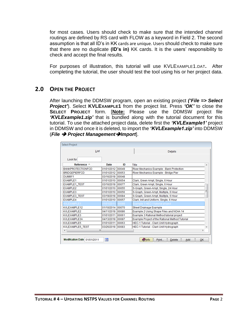for most cases. Users should check to make sure that the intended channel routings are defined by RS card with FLOW as a keyword in Field 2. The second assumption is that all ID's in KK cards are unique. Users should check to make sure that there are no duplicate **(ID's in)** KK cards. It is the users' responsibility to check and accept the final results.

For purposes of illustration, this tutorial will use KVLEXAMPLE1.DAT**.** After completing the tutorial, the user should test the tool using his or her project data.

# <span id="page-3-0"></span>**2.0 OPEN THE PROJECT**

After launching the DDMSW program, open an existing project *('File => Select Project'*). Select **KVLEXAMPLE1** from the project list. Press *'OK'* to close the **SELECT PROJECT** form. [**Note:** Please use the DDMSW project file *'KVLExample1.zip'* that is bundled along with the tutorial document for this tutorial. To use the attached project data, delete first the *'KVLExample1'* project in DDMSW and once it is deleted, to import the *'KVLExample1.zip'* into DDMSW (*File* ➔ *Project Management*➔*Import*].

|                          | List             |    | <b>Details</b>                                  |    |  |  |  |  |  |
|--------------------------|------------------|----|-------------------------------------------------|----|--|--|--|--|--|
| Look for                 |                  |    |                                                 |    |  |  |  |  |  |
| Reference <sup>4</sup>   | Date             | ID | Title                                           |    |  |  |  |  |  |
| <b>BANKPROTECTIONECD</b> | 01/01/2012 00049 |    | River Mechanics Example - Bank Protection       |    |  |  |  |  |  |
| <b>BRIDGEPIERFCD</b>     | 01/01/2012 00053 |    | River Mechanics Example - Bridge Pier           |    |  |  |  |  |  |
| DUMMY1                   | 03/16/2018 00048 |    |                                                 |    |  |  |  |  |  |
| <b>EXAMPLE1</b>          | 01/01/2010 00054 |    | Clark, Green Ampt, Single, 6 Hour               |    |  |  |  |  |  |
| <b>EXAMPLE1 TEST</b>     | 03/16/2018 00077 |    | Clark, Green Ampt, Single, 6 Hour               |    |  |  |  |  |  |
| <b>FXAMPLE2</b>          | 01/01/2010 00055 |    | S-Graph, Green-Ampt, Single, 24 Hour            |    |  |  |  |  |  |
| EXAMPLE3                 | 01/01/2010 00056 |    | S-Graph, Green-Ampt, Multiple, 6 Hour           | Ξ  |  |  |  |  |  |
| EXAMPLE3_TEST            | 03/19/2018 00084 |    | S-Graph, Green-Ampt, Mulitple, 6 Hour           |    |  |  |  |  |  |
| EXAMPLE4                 | 01/01/2010 00057 |    | Clark, Init and Uniform, Single, 6 Hour         |    |  |  |  |  |  |
| <b>WLEXAMPLE1</b>        | 01/01/2011 00088 |    | Example 1 HEC-1 tutorial project                |    |  |  |  |  |  |
| KVLEXAMPLE12             | 01/10/2014 00070 |    | <b>Street Drainage Example</b>                  |    |  |  |  |  |  |
| KVI FXAMPI F2            | 04/11/2018 00086 |    | Example 2 Using Shape Files and NOAA 14         |    |  |  |  |  |  |
| KVLEXAMPLE3              | 01/01/2011 00061 |    | Example 3 Rational Method tutorial project      |    |  |  |  |  |  |
| KVLEXAMPLE3A             | 04/13/2018 00087 |    | Example Project of the Rational Method Tutorial |    |  |  |  |  |  |
| KVLEXAMPLE5              | 01/01/2011 00063 |    | HEC-1 Tutorial - Clark Unit Hydrograph          |    |  |  |  |  |  |
| KVLEXAMPLE5 TEST         | 03/26/2018 00083 |    | HEC-1 Tutorial - Clark Unit Hydrograph          |    |  |  |  |  |  |
| ∢                        | m.               |    |                                                 | b. |  |  |  |  |  |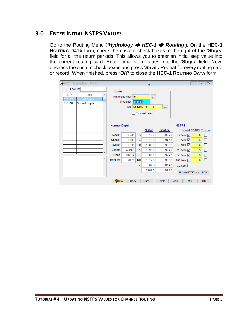### <span id="page-4-0"></span>**3.0 ENTER INITIAL NSTPS VALUES**

Go to the Routing Menu (*'Hydrology* ➔ *HEC-1* ➔ *Routing'*). On the **HEC-1 ROUTING DATA** form, check the custom check boxes to the right of the **'Steps'** field for all the return periods. This allows you to enter an initial step value into the current routing card. Enter initial step values into the '**Steps'** field. Now, uncheck the custom check boxes and press *'Save'.* Repeat for every routing card or record. When finished, press *'OK'* to close the **HEC-1 ROUTING DATA** form.

| HEC-1 Routing Data - MB: 01                                                    |                       |                                          | $\Box$<br>$\Box$                              | $\Sigma\!3$ |               |                         |            |       |                        |   |  |
|--------------------------------------------------------------------------------|-----------------------|------------------------------------------|-----------------------------------------------|-------------|---------------|-------------------------|------------|-------|------------------------|---|--|
| Look for                                                                       |                       | Route                                    |                                               |             |               |                         |            |       |                        |   |  |
| $ID -$<br><b>Type</b><br>A<br>010105<br>Normal Depth<br>010110<br>Normal Depth |                       | Major Basin ID<br>01<br>Route ID<br>Type | 010105<br>NORMAL DEPTH<br><b>Channel Loss</b> |             |               |                         |            |       |                        |   |  |
|                                                                                | <b>Normal Depth</b>   |                                          | <b>NSTPS</b><br><b>Model NSTPS Custom</b>     |             |               |                         |            |       |                        |   |  |
|                                                                                | LOB <sub>N</sub>      |                                          |                                               | 0.035       |               | 1.                      | 510.0      | 99.70 | 2 Year $\triangledown$ | 8 |  |
|                                                                                | Chan N                | 0.038                                    | 2.                                            | 1510.0      | 94.10         | 5 Year ☑                | 6          | □     |                        |   |  |
|                                                                                | <b>ROBN</b>           | 0.035                                    | LB                                            | 1585.0      | 93.60         | 10 Year $\sqrt{ }$      | 6          | ┑     |                        |   |  |
| v                                                                              | Length                | 4224.0                                   | 4.                                            | 1596.0      | 92.20         | 25 Year $\sqrt{ }$      | 5          | □     |                        |   |  |
|                                                                                | Slope                 | 0.0012                                   | 5.                                            | 1600.0      | 92.20         | 50 Year √               | 5          |       |                        |   |  |
| ∧                                                                              | Max Elev              | 99.70                                    | <b>RB</b>                                     | 1612.0      | 93.60         | 100 Year ☑              | $\sqrt{5}$ | □     |                        |   |  |
|                                                                                |                       |                                          | 7.                                            | 1662.0      | 94.90         | Custom                  |            |       |                        |   |  |
| ٧                                                                              | 8.<br>2262.0<br>99.70 |                                          |                                               |             |               | Update NSTPS from HEC-1 |            |       |                        |   |  |
|                                                                                | <b>Olnfo</b>          | Copy                                     |                                               | Print       | <b>Delete</b> | <b>MB</b><br>Add        |            | QK    |                        |   |  |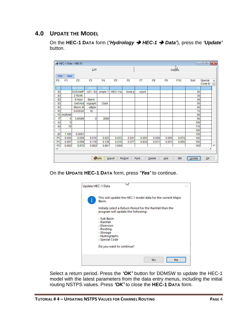# <span id="page-5-0"></span>**4.0 UPDATE THE MODEL**

On the **HEC-1 DATA** form (*'Hydrology* ➔ *HEC-1* ➔ *Data'*), press the *'Update'* button.

|                | HEC-1 Data - MB: 01<br>$\begin{array}{c c c c c c} \hline \multicolumn{3}{c }{\mathbf{C}} & \multicolumn{3}{c }{\mathbf{X}} \end{array}$ |                |                |                |                |                |         |                |                |                 |        |                    |               |
|----------------|------------------------------------------------------------------------------------------------------------------------------------------|----------------|----------------|----------------|----------------|----------------|---------|----------------|----------------|-----------------|--------|--------------------|---------------|
|                |                                                                                                                                          |                | List           |                |                |                | Details |                |                |                 |        |                    |               |
|                | Next<br>Find                                                                                                                             |                |                |                |                |                |         |                |                |                 |        |                    |               |
| F <sub>0</sub> | F <sub>1</sub>                                                                                                                           | F <sub>2</sub> | F <sub>3</sub> | F <sub>4</sub> | F <sub>5</sub> | F <sub>6</sub> | F7      | F <sub>8</sub> | F <sub>9</sub> | F <sub>10</sub> | Sort   | Special<br>Code ID | Α             |
| ID             |                                                                                                                                          | <b>WL Cons</b> | ultants        | Inc.           |                |                |         |                |                |                 |        |                    |               |
| ID             |                                                                                                                                          | <b>WLEXAMP</b> | $LE1 - Ex$     | ample 1        | HEC-1 tu       | torial p       | roject  |                |                |                 | 20     |                    |               |
| ID             |                                                                                                                                          | 2 YEAR         |                |                |                |                |         |                |                |                 | 30     |                    |               |
| ID             |                                                                                                                                          | 6 Hour         | Storm          |                |                |                |         |                |                |                 | 40     |                    |               |
| ID             |                                                                                                                                          | Unit Hyd       | rograph:       | Clark          |                |                |         |                |                |                 | 50     |                    |               |
| ID             |                                                                                                                                          | Storm: M       | ultiple        |                |                |                |         |                |                |                 | 60     |                    |               |
| ID             |                                                                                                                                          | 04/25/20       | 18             |                |                |                |         |                |                |                 | 70     |                    |               |
| *D             | <b>IAGRAM</b>                                                                                                                            |                |                |                |                |                |         |                |                |                 | 80     |                    |               |
| IT             | 5                                                                                                                                        | <b>1JAN99</b>  | 0              | 2000           |                |                |         |                |                |                 | 90     |                    |               |
| IO             | 5                                                                                                                                        |                |                |                |                |                |         |                |                |                 | 100    |                    |               |
| IN             | 15                                                                                                                                       |                |                |                |                |                |         |                |                |                 | 110    |                    |               |
| $\star$        |                                                                                                                                          |                |                |                |                |                |         |                |                |                 | 120    |                    |               |
| <b>JD</b>      | 1.180                                                                                                                                    | 0.0001         |                |                |                |                |         |                |                |                 | 130    |                    |               |
| PC             | 0.000                                                                                                                                    | 0.008          | 0.016          | 0.025          | 0.033          | 0.041          | 0.050   | 0.058          | 0.066          | 0.074           | 140    |                    |               |
| PC             | 0.087                                                                                                                                    | 0.099          | 0.118          | 0.138          | 0.216          | 0.377          | 0.834   | 0.911          | 0.931          | 0.950           | 150    |                    |               |
| PC             | 0.962                                                                                                                                    | 0.972          | 0.983          | 0.991          | 1.000          |                |         |                |                |                 | 160    | $\rightarrow$      | ٧             |
| $\checkmark$   |                                                                                                                                          |                |                |                |                |                |         |                |                |                 |        |                    |               |
|                |                                                                                                                                          |                |                | <b>Olnfo</b>   | Export         | <b>Resort</b>  | Print   | <b>Delete</b>  | Add            | <b>MB</b>       | Update | QK                 | $\mathcal{A}$ |

On the **UPDATE HEC-1 DATA** form, press *'Yes'* to continue.



Select a return period. Press the *'OK'* button for DDMSW to update the HEC-1 model with the latest parameters from the data entry menus, including the initial routing NSTPS values. Press *'OK'* to close the **HEC-1 DATA** form.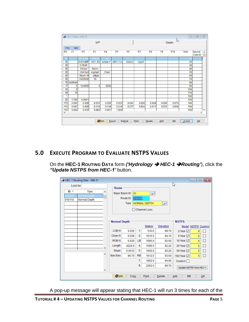|                          |                | HEC-1 Data - MB: 01 |                |                |                |                |              |                |                |           | $\qquad \qquad \Box$ | $\qquad \qquad \Box$ | $\Sigma$ |  |
|--------------------------|----------------|---------------------|----------------|----------------|----------------|----------------|--------------|----------------|----------------|-----------|----------------------|----------------------|----------|--|
|                          |                |                     | List           |                |                |                | ド<br>Details |                |                |           |                      |                      |          |  |
| Find                     | Next           |                     |                |                |                |                |              |                |                |           |                      |                      |          |  |
| F <sub>0</sub>           | F <sub>1</sub> | F <sub>2</sub>      | F <sub>3</sub> | F <sub>4</sub> | F <sub>5</sub> | F <sub>6</sub> | F7           | F <sub>8</sub> | F <sub>9</sub> | F10       | Sort                 | Special<br>Code ID   | ۸        |  |
| ID                       |                | <b>KVL Cons</b>     | ultants        | Inc.           |                |                |              |                |                |           |                      |                      |          |  |
| ID                       |                | <b>WLEXAMP</b>      | $LE1 - Ex$     | ample 1        | HEC-1 tu       | torial p       | roject       |                |                |           | 20                   |                      |          |  |
| ID                       |                | 2 YEAR              |                |                |                |                |              |                |                |           | 30                   |                      |          |  |
| ID                       |                | 6 Hour              | <b>Storm</b>   |                |                |                |              |                |                |           | 40                   |                      |          |  |
| ID                       |                | Unit Hyd            | rograph:       | Clark          |                |                |              |                |                |           | 50                   |                      |          |  |
| ID                       |                | Storm: M            | ultiple        |                |                |                |              |                |                |           | 60                   |                      |          |  |
| ID                       |                | 04/25/20            | 18             |                |                |                |              |                |                |           | 70                   |                      |          |  |
| *D                       | <b>IAGRAM</b>  |                     |                |                |                |                |              |                |                |           | 80                   |                      |          |  |
| $\mathsf{I}\mathsf{T}$   | 5              | <b>1JAN99</b>       | 0              | 2000           |                |                |              |                |                |           | 90                   |                      |          |  |
| IO                       | 5              |                     |                |                |                |                |              |                |                |           | 100                  |                      |          |  |
| IN                       | 15             |                     |                |                |                |                |              |                |                |           | 110                  |                      |          |  |
| $\star$                  |                |                     |                |                |                |                |              |                |                |           | 120                  |                      |          |  |
| <b>JD</b>                | 1.180          | 0.0001              |                |                |                |                |              |                |                |           | 130                  |                      |          |  |
| PC                       | 0.000          | 0.008               | 0.016          | 0.025          | 0.033          | 0.041          | 0.050        | 0.058          | 0.066          | 0.074     | 140                  |                      |          |  |
| PC                       | 0.087          | 0.099               | 0.118          | 0.138          | 0.216          | 0.377          | 0.834        | 0.911          | 0.931          | 0.950     | 150                  |                      |          |  |
| PC                       | 0.962          | 0.972               | 0.983          | 0.991          | 1.000          |                |              |                |                |           | 160                  |                      | ٧        |  |
| $\overline{\phantom{a}}$ |                |                     |                |                |                |                |              |                |                |           |                      | $\,$                 |          |  |
|                          |                |                     |                |                |                |                |              |                |                |           |                      |                      |          |  |
|                          |                |                     |                | <b>O</b> Info  | Export         | <b>ReSort</b>  | Print        | Delete         | Add            | <b>MB</b> | Update               | QK                   | 료        |  |

# <span id="page-6-0"></span>**5.0 EXECUTE PROGRAM TO EVALUATE NSTPS VALUES**

On the **HEC-1 ROUTING DATA** form *('Hydrology* ➔ *HEC-1* ➔*Routing'*), click the *"Update NSTPS from HEC-1'* button.

|          | $\begin{array}{c c c c c} \hline \multicolumn{3}{c }{\mathbf{}} & \multicolumn{3}{c }{\mathbf{}} & \multicolumn{3}{c }{\mathbf{}} \\ \hline \multicolumn{3}{c }{\mathbf{}} & \multicolumn{3}{c }{\mathbf{}} & \multicolumn{3}{c }{\mathbf{}} & \multicolumn{3}{c }{\mathbf{}} & \multicolumn{3}{c }{\mathbf{}} \end{array} \end{array}$<br>HEC-1 Routing Data - MB: 01 |   |                     |                          |           |                          |           |                         |                    |    |  |
|----------|------------------------------------------------------------------------------------------------------------------------------------------------------------------------------------------------------------------------------------------------------------------------------------------------------------------------------------------------------------------------|---|---------------------|--------------------------|-----------|--------------------------|-----------|-------------------------|--------------------|----|--|
| Look for |                                                                                                                                                                                                                                                                                                                                                                        |   | Route               |                          |           |                          |           | B                       |                    |    |  |
| $ID -$   | <b>Type</b>                                                                                                                                                                                                                                                                                                                                                            | ۸ |                     | Major Basin ID   01<br>₽ |           |                          |           |                         |                    |    |  |
| 010105   | Normal Depth                                                                                                                                                                                                                                                                                                                                                           |   |                     | Route ID                 | 010105    |                          |           |                         |                    |    |  |
| 010110   | Normal Depth                                                                                                                                                                                                                                                                                                                                                           |   |                     | Type                     |           | <b>NORMAL DEPTH</b>      |           |                         |                    |    |  |
|          |                                                                                                                                                                                                                                                                                                                                                                        |   |                     |                          |           | $\tilde{\boldsymbol{r}}$ |           |                         |                    |    |  |
|          |                                                                                                                                                                                                                                                                                                                                                                        |   |                     |                          |           | □ Channel Loss           |           |                         |                    |    |  |
|          |                                                                                                                                                                                                                                                                                                                                                                        |   |                     |                          |           |                          |           |                         |                    |    |  |
|          |                                                                                                                                                                                                                                                                                                                                                                        |   | <b>Normal Depth</b> |                          |           | <b>NSTPS</b>             |           |                         |                    |    |  |
|          |                                                                                                                                                                                                                                                                                                                                                                        |   |                     |                          |           | <b>Station</b>           | Elevation |                         | Model NSTPS Custom |    |  |
|          |                                                                                                                                                                                                                                                                                                                                                                        |   | LOB <sub>N</sub>    | 0.035                    | 1.        | 510.0                    | 99.70     | 2 Year $\sqrt{ }$       | 8                  |    |  |
|          |                                                                                                                                                                                                                                                                                                                                                                        |   | Chan N              | 0.038                    | 2.        | 1510.0                   | 94.10     | 5 Year $\boxdot$        | 6                  | П  |  |
|          |                                                                                                                                                                                                                                                                                                                                                                        |   | <b>ROBN</b>         | 0.035                    | LB        | 1585.0                   | 93.60     | 10 Year $\sqrt{ }$      | 6                  | П  |  |
|          |                                                                                                                                                                                                                                                                                                                                                                        |   | Length              | 4224.0                   | 4.        | 1596.0                   | 92.20     | 25 Year ☑               | 5                  | П  |  |
|          |                                                                                                                                                                                                                                                                                                                                                                        |   | Slope               | 0.0012                   | 5.        | 1600.0                   | 92.20     | 50 Year $\vee$          | 5                  | П  |  |
|          |                                                                                                                                                                                                                                                                                                                                                                        | ۸ | Max Elev            | 99.70                    | <b>RB</b> | 1612.0                   | 93.60     | 100 Year √              | 5                  | П  |  |
|          |                                                                                                                                                                                                                                                                                                                                                                        |   |                     |                          | 7.        | 1662.0                   | 94.90     | Custom $\Box$           |                    |    |  |
|          |                                                                                                                                                                                                                                                                                                                                                                        |   |                     |                          | 8.        | 2262.0                   | 99.70     | Update NSTPS from HEC-1 |                    |    |  |
|          | v                                                                                                                                                                                                                                                                                                                                                                      |   |                     |                          |           |                          |           |                         |                    |    |  |
|          |                                                                                                                                                                                                                                                                                                                                                                        |   | <b>O</b> Info       | Copy                     |           | Print                    | Delete    | <b>MB</b><br>Add        |                    | QK |  |

A pop-up message will appear stating that HEC-1 will run 3 times for each of the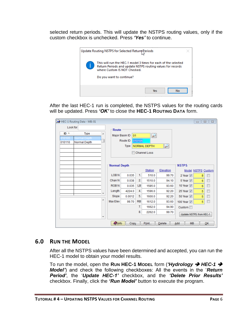selected return periods. This will update the NSTPS routing values, only if the custom checkbox is unchecked. Press *'Yes'* to continue.



After the last HEC-1 run is completed, the NSTPS values for the routing cards will be updated. Press *'OK'* to close the **HEC-1 ROUTING DATA** form.

|          | HEC-1 Routing Data - MB: 01 |                     |                     |                      |                     |                                  |               |                                            | $\qquad \qquad \Box$ | $\Sigma$<br>$\qquad \qquad \Box$ |
|----------|-----------------------------|---------------------|---------------------|----------------------|---------------------|----------------------------------|---------------|--------------------------------------------|----------------------|----------------------------------|
| Look for |                             |                     |                     | Route                |                     |                                  |               |                                            |                      |                                  |
| $ID -$   | <b>Type</b>                 | ▲                   |                     | Major Basin ID<br>01 |                     | ₽                                |               |                                            |                      |                                  |
| 10105    | Normal Depth                |                     |                     | Route ID             | 010105              |                                  |               |                                            |                      |                                  |
| 010110   | Normal Depth                |                     |                     | Type                 |                     | NORMAL DEPTH                     | $\mathcal P$  |                                            |                      |                                  |
|          |                             |                     |                     |                      |                     |                                  |               |                                            |                      |                                  |
|          |                             |                     |                     |                      | <b>Channel Loss</b> |                                  |               |                                            |                      |                                  |
|          |                             |                     |                     |                      |                     |                                  |               |                                            |                      |                                  |
|          |                             |                     | <b>Normal Depth</b> |                      |                     | <b>NSTPS</b>                     |               |                                            |                      |                                  |
|          |                             |                     |                     |                      |                     | <b>Station</b>                   | Elevation     |                                            | Model NSTPS Custom   |                                  |
|          |                             |                     | LOB <sub>N</sub>    | 0.035                | 1.                  | 510.0                            | 99.70         | 2 Year $\boxed{v}$                         | 8                    | Г                                |
|          |                             |                     | Chan N              | 0.038                | 2.                  | 1510.0                           | 94.10         | 5 Year 7                                   | 6                    | $\Box$                           |
|          |                             |                     | <b>ROBN</b>         | 0.035                | LB                  | 1585.0                           | 93.60         | 10 Year $\nabla$                           | 6                    | $\Box$                           |
|          |                             |                     | Length              | 4224.0               | 4.                  | 1596.0                           | 92.20         | 25 Year V                                  | 5                    | П                                |
|          |                             |                     | Slope               | 0.0012               | 5.                  | 1600.0                           | 92.20         | 50 Year $\triangledown$                    | 5                    | $\overline{\phantom{a}}$         |
|          |                             | ┻                   | Max Elev            | 99.70                | <b>RB</b>           | 1612.0                           | 93.60         | 100 Year $\vert\overline{\mathbf{v}}\vert$ | 5                    | П                                |
|          |                             |                     |                     |                      | 7.                  | 1662.0                           | 94.90         | Custom $\Box$                              |                      |                                  |
|          |                             |                     |                     |                      | 8.                  | 99.70<br>Update NSTPS from HEC-1 |               |                                            |                      |                                  |
|          |                             | $\overline{\nabla}$ |                     |                      |                     |                                  |               |                                            |                      |                                  |
|          |                             |                     | <b>O</b> Info       | Copy                 |                     | Print                            | <b>Delete</b> | <b>MB</b><br>Add                           |                      | QK                               |

#### <span id="page-7-0"></span>**6.0 RUN THE MODEL**

After all the NSTPS values have been determined and accepted, you can run the HEC-1 model to obtain your model results.

To run the model, open the **RUN HEC-1 MODEL** form (*'Hydrology* ➔ *HEC-1* ➔ *Model'*) and check the following checkboxes: All the events in the '*Return Period'*, the '*Update HEC-1'* checkbox, and the *'Delete Prior Results'*  checkbox. Finally, click the *'Run Model'* button to execute the program.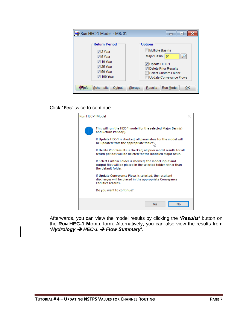| Run HEC-1 Model - MB: 01                                                                                                                                        | E                                                                                                                                                                 |
|-----------------------------------------------------------------------------------------------------------------------------------------------------------------|-------------------------------------------------------------------------------------------------------------------------------------------------------------------|
| <b>Return Period</b><br>$\sqrt{2 \text{ Year}}$<br>$\sqrt{5}$ Year<br>$\sqrt{ }$ 10 Year<br>$\sqrt{25}$ Year<br>$\sqrt{50 \text{ Year}}$<br>$\sqrt{ }$ 100 Year | <b>Options</b><br><b>Multiple Basins</b><br>Major Basin<br>01<br>V Update HEC-1<br>Delete Prior Results<br>Select Custom Folder<br><b>Update Conveyance Flows</b> |
| Schematic<br>Output<br>nfo                                                                                                                                      | Run Model<br><b>Results</b><br>Storage<br>ОК                                                                                                                      |

Click *'Yes'* twice to continue.

| Run HEC-1 Model |                                                                                                                                                  |  |  |  |  |  |  |  |
|-----------------|--------------------------------------------------------------------------------------------------------------------------------------------------|--|--|--|--|--|--|--|
|                 | This will run the HEC-1 model for the selected Major Basin(s)<br>and Return Period(s).                                                           |  |  |  |  |  |  |  |
|                 | If Update HEC-1 is checked, all parameters for the model will<br>be updated from the appropriate tables                                          |  |  |  |  |  |  |  |
|                 | If Delete Prior Results is checked, all prior model results for all<br>return periods will be deleted for the modeled Major Basin.               |  |  |  |  |  |  |  |
|                 | If Select Custom Folder is checked, the model input and<br>output files will be placed in the selected folder rather than<br>the default folder. |  |  |  |  |  |  |  |
|                 | If Update Conveyance Flows is selected, the resultant<br>discharges will be placed in the appropriate Conveyance<br><b>Facilities records.</b>   |  |  |  |  |  |  |  |
|                 | Do you want to continue?                                                                                                                         |  |  |  |  |  |  |  |
|                 | No<br>Yes.                                                                                                                                       |  |  |  |  |  |  |  |

Afterwards, you can view the model results by clicking the *'Results'* button on the **RUN HEC-1 MODEL** form. Alternatively, you can also view the results from *'Hydrology* ➔ *HEC-1* ➔ *Flow Summary'*.